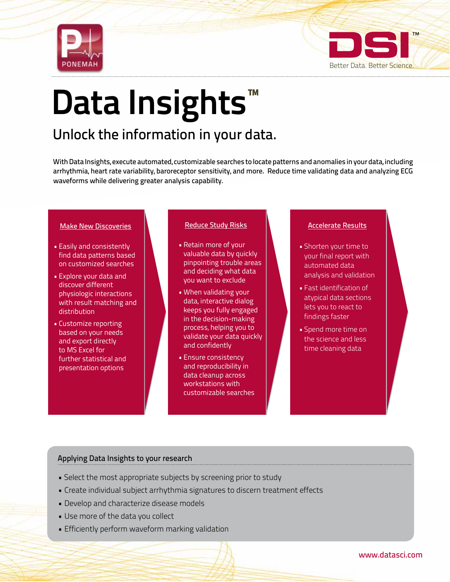



# Data Insights<sup>™</sup>

# Unlock the information in your data.

With Data Insights, execute automated, customizable searches to locate patterns and anomalies in your data, including arrhythmia, heart rate variability, baroreceptor sensitivity, and more. Reduce time validating data and analyzing ECG waveforms while delivering greater analysis capability.

# Make New Discoveries

- Easily and consistently find data patterns based on customized searches
- Explore your data and discover different physiologic interactions with result matching and distribution
- Customize reporting based on your needs and export directly to MS Excel for further statistical and presentation options

# Reduce Study Risks Accelerate Results

- Retain more of your valuable data by quickly pinpointing trouble areas and deciding what data you want to exclude
- When validating your data, interactive dialog keeps you fully engaged in the decision-making process, helping you to validate your data quickly and confidently
- Ensure consistency and reproducibility in data cleanup across workstations with customizable searches

- Shorten your time to your final report with automated data analysis and validation
- Fast identification of atypical data sections lets you to react to findings faster
- Spend more time on the science and less time cleaning data

# Applying Data Insights to your research

- Select the most appropriate subjects by screening prior to study
- Create individual subject arrhythmia signatures to discern treatment effects
- Develop and characterize disease models
- Use more of the data you collect
- Efficiently perform waveform marking validation